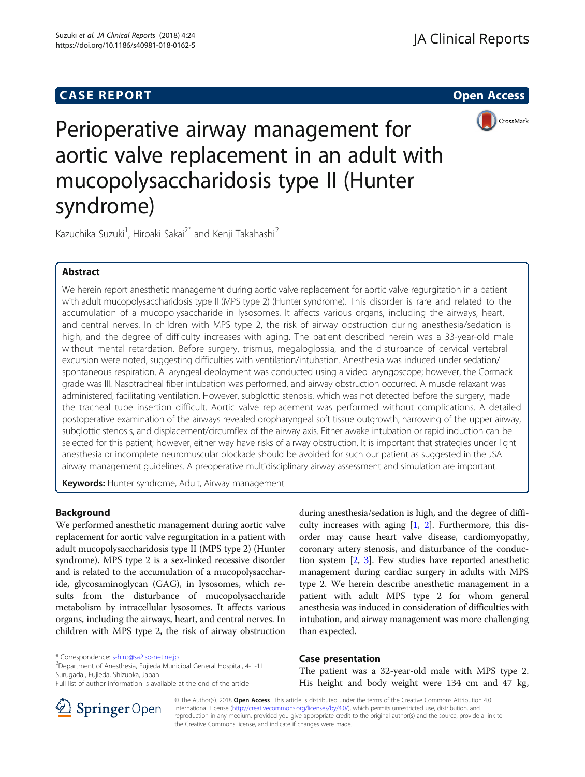# **CASE REPORT And SERVICE SERVICE SERVICE SERVICE SERVICE SERVICE SERVICE SERVICE SERVICE SERVICE SERVICE SERVICE**



Perioperative airway management for aortic valve replacement in an adult with mucopolysaccharidosis type II (Hunter syndrome)

Kazuchika Suzuki<sup>1</sup>, Hiroaki Sakai<sup>2\*</sup> and Kenji Takahashi<sup>2</sup>

# Abstract

We herein report anesthetic management during aortic valve replacement for aortic valve regurgitation in a patient with adult mucopolysaccharidosis type II (MPS type 2) (Hunter syndrome). This disorder is rare and related to the accumulation of a mucopolysaccharide in lysosomes. It affects various organs, including the airways, heart, and central nerves. In children with MPS type 2, the risk of airway obstruction during anesthesia/sedation is high, and the degree of difficulty increases with aging. The patient described herein was a 33-year-old male without mental retardation. Before surgery, trismus, megaloglossia, and the disturbance of cervical vertebral excursion were noted, suggesting difficulties with ventilation/intubation. Anesthesia was induced under sedation/ spontaneous respiration. A laryngeal deployment was conducted using a video laryngoscope; however, the Cormack grade was III. Nasotracheal fiber intubation was performed, and airway obstruction occurred. A muscle relaxant was administered, facilitating ventilation. However, subglottic stenosis, which was not detected before the surgery, made the tracheal tube insertion difficult. Aortic valve replacement was performed without complications. A detailed postoperative examination of the airways revealed oropharyngeal soft tissue outgrowth, narrowing of the upper airway, subglottic stenosis, and displacement/circumflex of the airway axis. Either awake intubation or rapid induction can be selected for this patient; however, either way have risks of airway obstruction. It is important that strategies under light anesthesia or incomplete neuromuscular blockade should be avoided for such our patient as suggested in the JSA airway management guidelines. A preoperative multidisciplinary airway assessment and simulation are important.

Keywords: Hunter syndrome, Adult, Airway management

### Background

We performed anesthetic management during aortic valve replacement for aortic valve regurgitation in a patient with adult mucopolysaccharidosis type II (MPS type 2) (Hunter syndrome). MPS type 2 is a sex-linked recessive disorder and is related to the accumulation of a mucopolysaccharide, glycosaminoglycan (GAG), in lysosomes, which results from the disturbance of mucopolysaccharide metabolism by intracellular lysosomes. It affects various organs, including the airways, heart, and central nerves. In children with MPS type 2, the risk of airway obstruction

\* Correspondence: [s-hiro@sa2.so-net.ne.jp](mailto:s-hiro@sa2.so-net.ne.jp) <sup>2</sup>

 $2$ Department of Anesthesia, Fujieda Municipal General Hospital, 4-1-11 Surugadai, Fujieda, Shizuoka, Japan

during anesthesia/sedation is high, and the degree of difficulty increases with aging  $[1, 2]$  $[1, 2]$  $[1, 2]$  $[1, 2]$ . Furthermore, this disorder may cause heart valve disease, cardiomyopathy, coronary artery stenosis, and disturbance of the conduction system [[2](#page-4-0), [3\]](#page-4-0). Few studies have reported anesthetic management during cardiac surgery in adults with MPS type 2. We herein describe anesthetic management in a patient with adult MPS type 2 for whom general anesthesia was induced in consideration of difficulties with intubation, and airway management was more challenging than expected.

### Case presentation

The patient was a 32-year-old male with MPS type 2. His height and body weight were 134 cm and 47 kg,



© The Author(s). 2018 Open Access This article is distributed under the terms of the Creative Commons Attribution 4.0 International License ([http://creativecommons.org/licenses/by/4.0/\)](http://creativecommons.org/licenses/by/4.0/), which permits unrestricted use, distribution, and reproduction in any medium, provided you give appropriate credit to the original author(s) and the source, provide a link to the Creative Commons license, and indicate if changes were made.

Full list of author information is available at the end of the article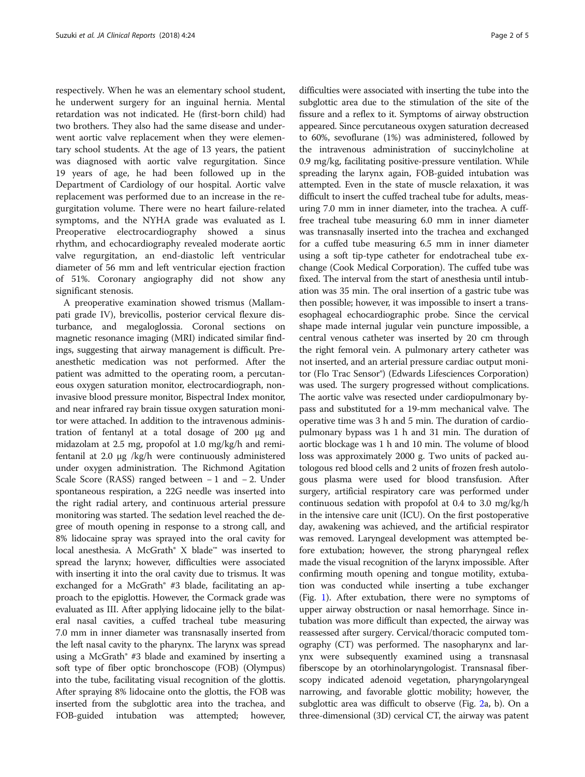respectively. When he was an elementary school student, he underwent surgery for an inguinal hernia. Mental retardation was not indicated. He (first-born child) had two brothers. They also had the same disease and underwent aortic valve replacement when they were elementary school students. At the age of 13 years, the patient was diagnosed with aortic valve regurgitation. Since 19 years of age, he had been followed up in the Department of Cardiology of our hospital. Aortic valve replacement was performed due to an increase in the regurgitation volume. There were no heart failure-related symptoms, and the NYHA grade was evaluated as I. Preoperative electrocardiography showed a sinus rhythm, and echocardiography revealed moderate aortic valve regurgitation, an end-diastolic left ventricular diameter of 56 mm and left ventricular ejection fraction of 51%. Coronary angiography did not show any significant stenosis.

A preoperative examination showed trismus (Mallampati grade IV), brevicollis, posterior cervical flexure disturbance, and megaloglossia. Coronal sections on magnetic resonance imaging (MRI) indicated similar findings, suggesting that airway management is difficult. Preanesthetic medication was not performed. After the patient was admitted to the operating room, a percutaneous oxygen saturation monitor, electrocardiograph, noninvasive blood pressure monitor, Bispectral Index monitor, and near infrared ray brain tissue oxygen saturation monitor were attached. In addition to the intravenous administration of fentanyl at a total dosage of 200 μg and midazolam at 2.5 mg, propofol at 1.0 mg/kg/h and remifentanil at 2.0 μg /kg/h were continuously administered under oxygen administration. The Richmond Agitation Scale Score (RASS) ranged between − 1 and − 2. Under spontaneous respiration, a 22G needle was inserted into the right radial artery, and continuous arterial pressure monitoring was started. The sedation level reached the degree of mouth opening in response to a strong call, and 8% lidocaine spray was sprayed into the oral cavity for local anesthesia. A McGrath® X blade™ was inserted to spread the larynx; however, difficulties were associated with inserting it into the oral cavity due to trismus. It was exchanged for a McGrath® #3 blade, facilitating an approach to the epiglottis. However, the Cormack grade was evaluated as III. After applying lidocaine jelly to the bilateral nasal cavities, a cuffed tracheal tube measuring 7.0 mm in inner diameter was transnasally inserted from the left nasal cavity to the pharynx. The larynx was spread using a McGrath® #3 blade and examined by inserting a soft type of fiber optic bronchoscope (FOB) (Olympus) into the tube, facilitating visual recognition of the glottis. After spraying 8% lidocaine onto the glottis, the FOB was inserted from the subglottic area into the trachea, and FOB-guided intubation was attempted; however,

difficulties were associated with inserting the tube into the subglottic area due to the stimulation of the site of the fissure and a reflex to it. Symptoms of airway obstruction appeared. Since percutaneous oxygen saturation decreased to 60%, sevoflurane (1%) was administered, followed by the intravenous administration of succinylcholine at 0.9 mg/kg, facilitating positive-pressure ventilation. While spreading the larynx again, FOB-guided intubation was attempted. Even in the state of muscle relaxation, it was difficult to insert the cuffed tracheal tube for adults, measuring 7.0 mm in inner diameter, into the trachea. A cufffree tracheal tube measuring 6.0 mm in inner diameter was transnasally inserted into the trachea and exchanged for a cuffed tube measuring 6.5 mm in inner diameter using a soft tip-type catheter for endotracheal tube exchange (Cook Medical Corporation). The cuffed tube was fixed. The interval from the start of anesthesia until intubation was 35 min. The oral insertion of a gastric tube was then possible; however, it was impossible to insert a transesophageal echocardiographic probe. Since the cervical shape made internal jugular vein puncture impossible, a central venous catheter was inserted by 20 cm through the right femoral vein. A pulmonary artery catheter was not inserted, and an arterial pressure cardiac output monitor (Flo Trac Sensor®) (Edwards Lifesciences Corporation) was used. The surgery progressed without complications. The aortic valve was resected under cardiopulmonary bypass and substituted for a 19-mm mechanical valve. The operative time was 3 h and 5 min. The duration of cardiopulmonary bypass was 1 h and 31 min. The duration of aortic blockage was 1 h and 10 min. The volume of blood loss was approximately 2000 g. Two units of packed autologous red blood cells and 2 units of frozen fresh autologous plasma were used for blood transfusion. After surgery, artificial respiratory care was performed under continuous sedation with propofol at 0.4 to 3.0 mg/kg/h in the intensive care unit (ICU). On the first postoperative day, awakening was achieved, and the artificial respirator was removed. Laryngeal development was attempted before extubation; however, the strong pharyngeal reflex made the visual recognition of the larynx impossible. After confirming mouth opening and tongue motility, extubation was conducted while inserting a tube exchanger (Fig. [1](#page-2-0)). After extubation, there were no symptoms of upper airway obstruction or nasal hemorrhage. Since intubation was more difficult than expected, the airway was reassessed after surgery. Cervical/thoracic computed tomography (CT) was performed. The nasopharynx and larynx were subsequently examined using a transnasal fiberscope by an otorhinolaryngologist. Transnasal fiberscopy indicated adenoid vegetation, pharyngolaryngeal narrowing, and favorable glottic mobility; however, the subglottic area was difficult to observe (Fig. [2](#page-2-0)a, b). On a three-dimensional (3D) cervical CT, the airway was patent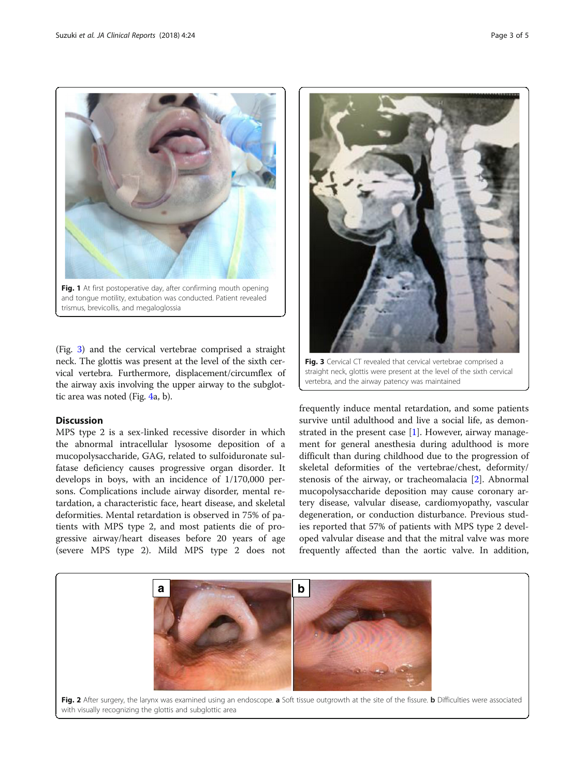<span id="page-2-0"></span>

(Fig. 3) and the cervical vertebrae comprised a straight neck. The glottis was present at the level of the sixth cervical vertebra. Furthermore, displacement/circumflex of the airway axis involving the upper airway to the subglottic area was noted (Fig. [4](#page-3-0)a, b).

### Discussion

MPS type 2 is a sex-linked recessive disorder in which the abnormal intracellular lysosome deposition of a mucopolysaccharide, GAG, related to sulfoiduronate sulfatase deficiency causes progressive organ disorder. It develops in boys, with an incidence of 1/170,000 persons. Complications include airway disorder, mental retardation, a characteristic face, heart disease, and skeletal deformities. Mental retardation is observed in 75% of patients with MPS type 2, and most patients die of progressive airway/heart diseases before 20 years of age (severe MPS type 2). Mild MPS type 2 does not



Fig. 3 Cervical CT revealed that cervical vertebrae comprised a straight neck, glottis were present at the level of the sixth cervical vertebra, and the airway patency was maintained

frequently induce mental retardation, and some patients survive until adulthood and live a social life, as demonstrated in the present case [\[1](#page-4-0)]. However, airway management for general anesthesia during adulthood is more difficult than during childhood due to the progression of skeletal deformities of the vertebrae/chest, deformity/ stenosis of the airway, or tracheomalacia [[2\]](#page-4-0). Abnormal mucopolysaccharide deposition may cause coronary artery disease, valvular disease, cardiomyopathy, vascular degeneration, or conduction disturbance. Previous studies reported that 57% of patients with MPS type 2 developed valvular disease and that the mitral valve was more frequently affected than the aortic valve. In addition,

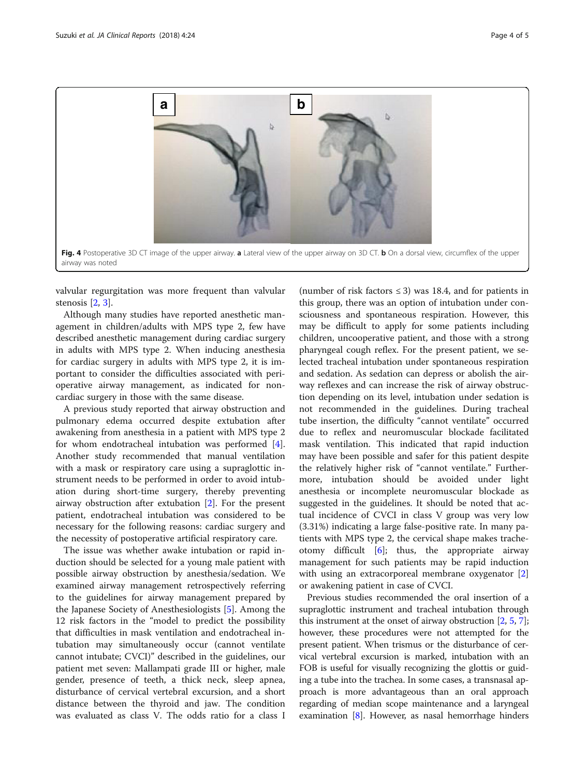<span id="page-3-0"></span>

valvular regurgitation was more frequent than valvular stenosis [[2,](#page-4-0) [3\]](#page-4-0).

Although many studies have reported anesthetic management in children/adults with MPS type 2, few have described anesthetic management during cardiac surgery in adults with MPS type 2. When inducing anesthesia for cardiac surgery in adults with MPS type 2, it is important to consider the difficulties associated with perioperative airway management, as indicated for noncardiac surgery in those with the same disease.

A previous study reported that airway obstruction and pulmonary edema occurred despite extubation after awakening from anesthesia in a patient with MPS type 2 for whom endotracheal intubation was performed [\[4](#page-4-0)]. Another study recommended that manual ventilation with a mask or respiratory care using a supraglottic instrument needs to be performed in order to avoid intubation during short-time surgery, thereby preventing airway obstruction after extubation [\[2](#page-4-0)]. For the present patient, endotracheal intubation was considered to be necessary for the following reasons: cardiac surgery and the necessity of postoperative artificial respiratory care.

The issue was whether awake intubation or rapid induction should be selected for a young male patient with possible airway obstruction by anesthesia/sedation. We examined airway management retrospectively referring to the guidelines for airway management prepared by the Japanese Society of Anesthesiologists [[5\]](#page-4-0). Among the 12 risk factors in the "model to predict the possibility that difficulties in mask ventilation and endotracheal intubation may simultaneously occur (cannot ventilate cannot intubate; CVCI)" described in the guidelines, our patient met seven: Mallampati grade III or higher, male gender, presence of teeth, a thick neck, sleep apnea, disturbance of cervical vertebral excursion, and a short distance between the thyroid and jaw. The condition was evaluated as class V. The odds ratio for a class I

(number of risk factors  $\leq$  3) was 18.4, and for patients in this group, there was an option of intubation under consciousness and spontaneous respiration. However, this may be difficult to apply for some patients including children, uncooperative patient, and those with a strong pharyngeal cough reflex. For the present patient, we selected tracheal intubation under spontaneous respiration and sedation. As sedation can depress or abolish the airway reflexes and can increase the risk of airway obstruction depending on its level, intubation under sedation is not recommended in the guidelines. During tracheal tube insertion, the difficulty "cannot ventilate" occurred due to reflex and neuromuscular blockade facilitated mask ventilation. This indicated that rapid induction may have been possible and safer for this patient despite the relatively higher risk of "cannot ventilate." Furthermore, intubation should be avoided under light anesthesia or incomplete neuromuscular blockade as suggested in the guidelines. It should be noted that actual incidence of CVCI in class V group was very low (3.31%) indicating a large false-positive rate. In many patients with MPS type 2, the cervical shape makes tracheotomy difficult  $[6]$  $[6]$ ; thus, the appropriate airway management for such patients may be rapid induction with using an extracorporeal membrane oxygenator [\[2](#page-4-0)] or awakening patient in case of CVCI.

Previous studies recommended the oral insertion of a supraglottic instrument and tracheal intubation through this instrument at the onset of airway obstruction [\[2](#page-4-0), [5,](#page-4-0) [7](#page-4-0)]; however, these procedures were not attempted for the present patient. When trismus or the disturbance of cervical vertebral excursion is marked, intubation with an FOB is useful for visually recognizing the glottis or guiding a tube into the trachea. In some cases, a transnasal approach is more advantageous than an oral approach regarding of median scope maintenance and a laryngeal examination [[8\]](#page-4-0). However, as nasal hemorrhage hinders